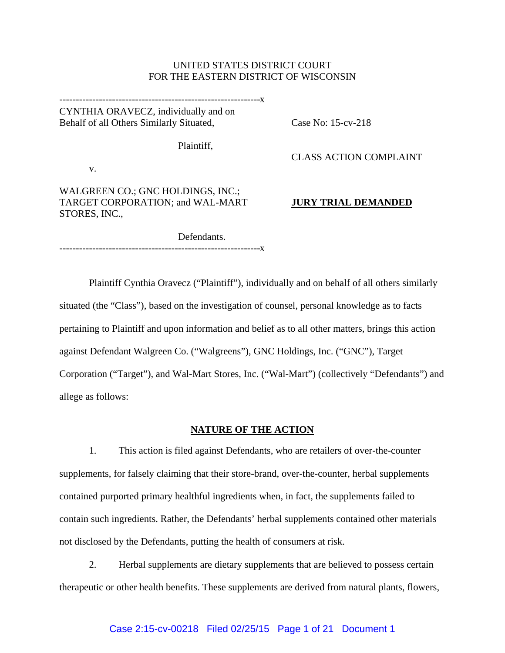### UNITED STATES DISTRICT COURT FOR THE EASTERN DISTRICT OF WISCONSIN

-------------------------------------------------------------x CYNTHIA ORAVECZ, individually and on Behalf of all Others Similarly Situated,

Case No: 15-cv-218

Plaintiff,

v.

# WALGREEN CO.; GNC HOLDINGS, INC.; TARGET CORPORATION; and WAL-MART STORES, INC.,

CLASS ACTION COMPLAINT

#### **JURY TRIAL DEMANDED**

 Defendants. -------------------------------------------------------------x

Plaintiff Cynthia Oravecz ("Plaintiff"), individually and on behalf of all others similarly situated (the "Class"), based on the investigation of counsel, personal knowledge as to facts pertaining to Plaintiff and upon information and belief as to all other matters, brings this action against Defendant Walgreen Co. ("Walgreens"), GNC Holdings, Inc. ("GNC"), Target Corporation ("Target"), and Wal-Mart Stores, Inc. ("Wal-Mart") (collectively "Defendants") and allege as follows:

#### **NATURE OF THE ACTION**

1. This action is filed against Defendants, who are retailers of over-the-counter supplements, for falsely claiming that their store-brand, over-the-counter, herbal supplements contained purported primary healthful ingredients when, in fact, the supplements failed to contain such ingredients. Rather, the Defendants' herbal supplements contained other materials not disclosed by the Defendants, putting the health of consumers at risk.

2. Herbal supplements are dietary supplements that are believed to possess certain therapeutic or other health benefits. These supplements are derived from natural plants, flowers,

#### Case 2:15-cv-00218 Filed 02/25/15 Page 1 of 21 Document 1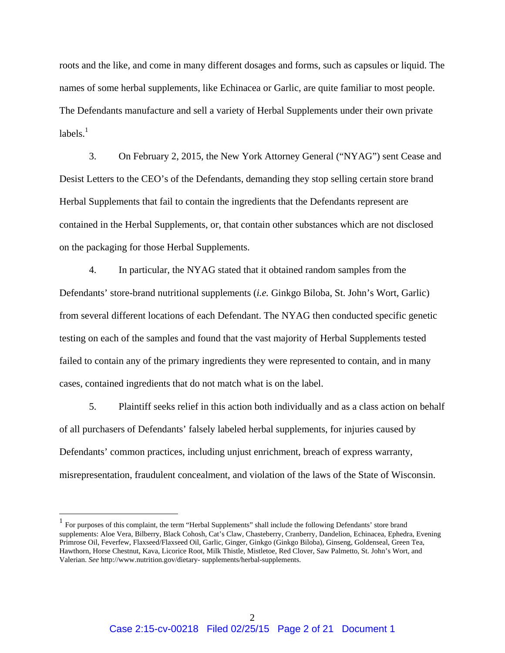roots and the like, and come in many different dosages and forms, such as capsules or liquid. The names of some herbal supplements, like Echinacea or Garlic, are quite familiar to most people. The Defendants manufacture and sell a variety of Herbal Supplements under their own private  $labels.<sup>1</sup>$ 

3. On February 2, 2015, the New York Attorney General ("NYAG") sent Cease and Desist Letters to the CEO's of the Defendants, demanding they stop selling certain store brand Herbal Supplements that fail to contain the ingredients that the Defendants represent are contained in the Herbal Supplements, or, that contain other substances which are not disclosed on the packaging for those Herbal Supplements.

4. In particular, the NYAG stated that it obtained random samples from the Defendants' store-brand nutritional supplements (*i.e.* Ginkgo Biloba, St. John's Wort, Garlic) from several different locations of each Defendant. The NYAG then conducted specific genetic testing on each of the samples and found that the vast majority of Herbal Supplements tested failed to contain any of the primary ingredients they were represented to contain, and in many cases, contained ingredients that do not match what is on the label.

5. Plaintiff seeks relief in this action both individually and as a class action on behalf of all purchasers of Defendants' falsely labeled herbal supplements, for injuries caused by Defendants' common practices, including unjust enrichment, breach of express warranty, misrepresentation, fraudulent concealment, and violation of the laws of the State of Wisconsin.

 $\overline{a}$ 

<sup>&</sup>lt;sup>1</sup> For purposes of this complaint, the term "Herbal Supplements" shall include the following Defendants' store brand supplements: Aloe Vera, Bilberry, Black Cohosh, Cat's Claw, Chasteberry, Cranberry, Dandelion, Echinacea, Ephedra, Evening Primrose Oil, Feverfew, Flaxseed/Flaxseed Oil, Garlic, Ginger, Ginkgo (Ginkgo Biloba), Ginseng, Goldenseal, Green Tea, Hawthorn, Horse Chestnut, Kava, Licorice Root, Milk Thistle, Mistletoe, Red Clover, Saw Palmetto, St. John's Wort, and Valerian. *See* http://www.nutrition.gov/dietary- supplements/herbal-supplements.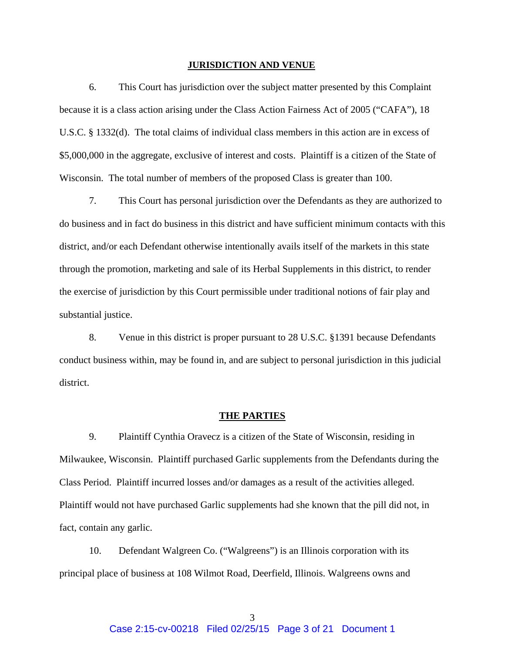#### **JURISDICTION AND VENUE**

6. This Court has jurisdiction over the subject matter presented by this Complaint because it is a class action arising under the Class Action Fairness Act of 2005 ("CAFA"), 18 U.S.C. § 1332(d). The total claims of individual class members in this action are in excess of \$5,000,000 in the aggregate, exclusive of interest and costs. Plaintiff is a citizen of the State of Wisconsin. The total number of members of the proposed Class is greater than 100.

7. This Court has personal jurisdiction over the Defendants as they are authorized to do business and in fact do business in this district and have sufficient minimum contacts with this district, and/or each Defendant otherwise intentionally avails itself of the markets in this state through the promotion, marketing and sale of its Herbal Supplements in this district, to render the exercise of jurisdiction by this Court permissible under traditional notions of fair play and substantial justice.

8. Venue in this district is proper pursuant to 28 U.S.C. §1391 because Defendants conduct business within, may be found in, and are subject to personal jurisdiction in this judicial district.

#### **THE PARTIES**

9. Plaintiff Cynthia Oravecz is a citizen of the State of Wisconsin, residing in Milwaukee, Wisconsin. Plaintiff purchased Garlic supplements from the Defendants during the Class Period. Plaintiff incurred losses and/or damages as a result of the activities alleged. Plaintiff would not have purchased Garlic supplements had she known that the pill did not, in fact, contain any garlic.

10. Defendant Walgreen Co. ("Walgreens") is an Illinois corporation with its principal place of business at 108 Wilmot Road, Deerfield, Illinois. Walgreens owns and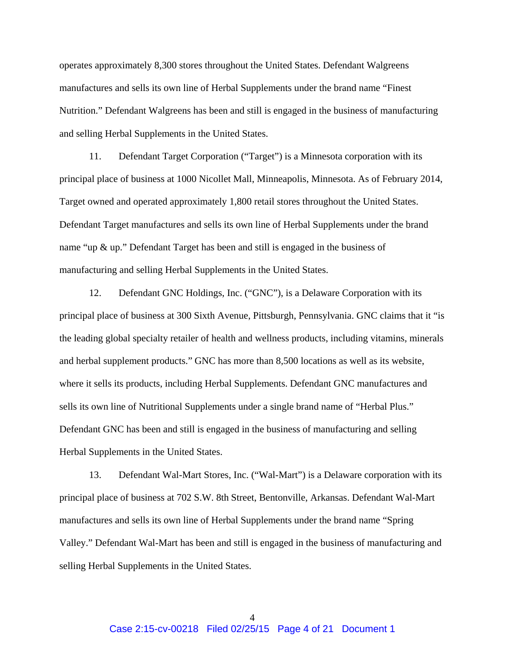operates approximately 8,300 stores throughout the United States. Defendant Walgreens manufactures and sells its own line of Herbal Supplements under the brand name "Finest Nutrition." Defendant Walgreens has been and still is engaged in the business of manufacturing and selling Herbal Supplements in the United States.

11. Defendant Target Corporation ("Target") is a Minnesota corporation with its principal place of business at 1000 Nicollet Mall, Minneapolis, Minnesota. As of February 2014, Target owned and operated approximately 1,800 retail stores throughout the United States. Defendant Target manufactures and sells its own line of Herbal Supplements under the brand name "up & up." Defendant Target has been and still is engaged in the business of manufacturing and selling Herbal Supplements in the United States.

12. Defendant GNC Holdings, Inc. ("GNC"), is a Delaware Corporation with its principal place of business at 300 Sixth Avenue, Pittsburgh, Pennsylvania. GNC claims that it "is the leading global specialty retailer of health and wellness products, including vitamins, minerals and herbal supplement products." GNC has more than 8,500 locations as well as its website, where it sells its products, including Herbal Supplements. Defendant GNC manufactures and sells its own line of Nutritional Supplements under a single brand name of "Herbal Plus." Defendant GNC has been and still is engaged in the business of manufacturing and selling Herbal Supplements in the United States.

13. Defendant Wal-Mart Stores, Inc. ("Wal-Mart") is a Delaware corporation with its principal place of business at 702 S.W. 8th Street, Bentonville, Arkansas. Defendant Wal-Mart manufactures and sells its own line of Herbal Supplements under the brand name "Spring Valley." Defendant Wal-Mart has been and still is engaged in the business of manufacturing and selling Herbal Supplements in the United States.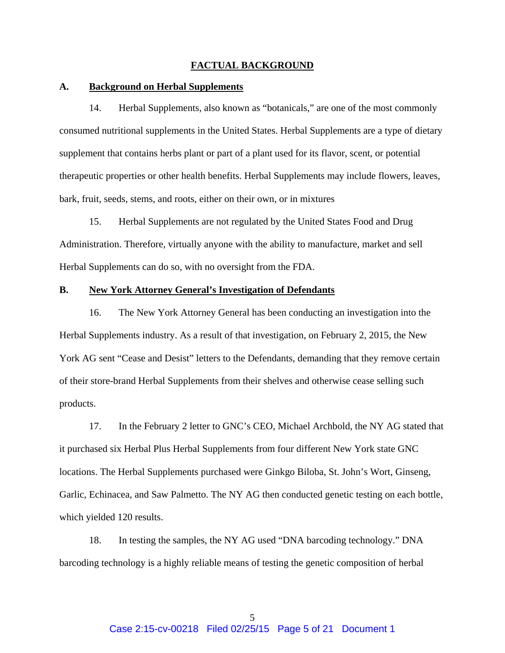#### **FACTUAL BACKGROUND**

#### **A. Background on Herbal Supplements**

14. Herbal Supplements, also known as "botanicals," are one of the most commonly consumed nutritional supplements in the United States. Herbal Supplements are a type of dietary supplement that contains herbs plant or part of a plant used for its flavor, scent, or potential therapeutic properties or other health benefits. Herbal Supplements may include flowers, leaves, bark, fruit, seeds, stems, and roots, either on their own, or in mixtures

15. Herbal Supplements are not regulated by the United States Food and Drug Administration. Therefore, virtually anyone with the ability to manufacture, market and sell Herbal Supplements can do so, with no oversight from the FDA.

### **B. New York Attorney General's Investigation of Defendants**

16. The New York Attorney General has been conducting an investigation into the Herbal Supplements industry. As a result of that investigation, on February 2, 2015, the New York AG sent "Cease and Desist" letters to the Defendants, demanding that they remove certain of their store-brand Herbal Supplements from their shelves and otherwise cease selling such products.

17. In the February 2 letter to GNC's CEO, Michael Archbold, the NY AG stated that it purchased six Herbal Plus Herbal Supplements from four different New York state GNC locations. The Herbal Supplements purchased were Ginkgo Biloba, St. John's Wort, Ginseng, Garlic, Echinacea, and Saw Palmetto. The NY AG then conducted genetic testing on each bottle, which yielded 120 results.

18. In testing the samples, the NY AG used "DNA barcoding technology." DNA barcoding technology is a highly reliable means of testing the genetic composition of herbal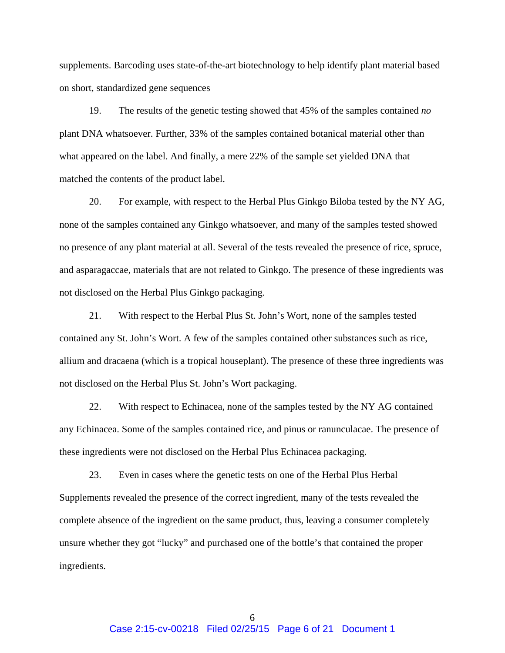supplements. Barcoding uses state-of-the-art biotechnology to help identify plant material based on short, standardized gene sequences

19. The results of the genetic testing showed that 45% of the samples contained *no*  plant DNA whatsoever. Further, 33% of the samples contained botanical material other than what appeared on the label. And finally, a mere 22% of the sample set yielded DNA that matched the contents of the product label.

20. For example, with respect to the Herbal Plus Ginkgo Biloba tested by the NY AG, none of the samples contained any Ginkgo whatsoever, and many of the samples tested showed no presence of any plant material at all. Several of the tests revealed the presence of rice, spruce, and asparagaccae, materials that are not related to Ginkgo. The presence of these ingredients was not disclosed on the Herbal Plus Ginkgo packaging.

21. With respect to the Herbal Plus St. John's Wort, none of the samples tested contained any St. John's Wort. A few of the samples contained other substances such as rice, allium and dracaena (which is a tropical houseplant). The presence of these three ingredients was not disclosed on the Herbal Plus St. John's Wort packaging.

22. With respect to Echinacea, none of the samples tested by the NY AG contained any Echinacea. Some of the samples contained rice, and pinus or ranunculacae. The presence of these ingredients were not disclosed on the Herbal Plus Echinacea packaging.

23. Even in cases where the genetic tests on one of the Herbal Plus Herbal Supplements revealed the presence of the correct ingredient, many of the tests revealed the complete absence of the ingredient on the same product, thus, leaving a consumer completely unsure whether they got "lucky" and purchased one of the bottle's that contained the proper ingredients.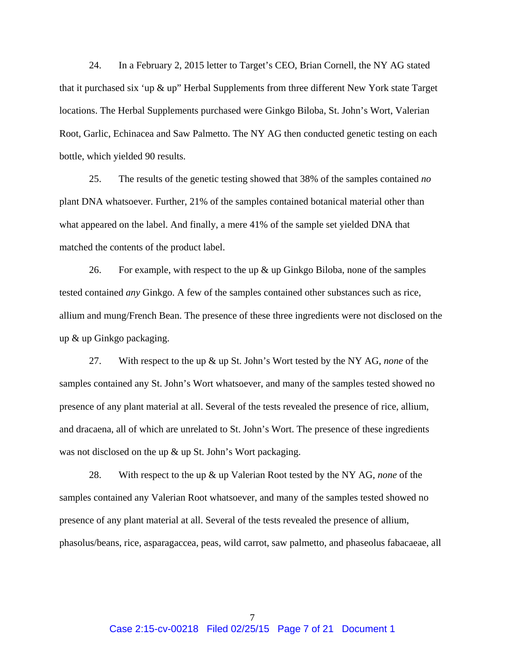24. In a February 2, 2015 letter to Target's CEO, Brian Cornell, the NY AG stated that it purchased six 'up & up" Herbal Supplements from three different New York state Target locations. The Herbal Supplements purchased were Ginkgo Biloba, St. John's Wort, Valerian Root, Garlic, Echinacea and Saw Palmetto. The NY AG then conducted genetic testing on each bottle, which yielded 90 results.

25. The results of the genetic testing showed that 38% of the samples contained *no*  plant DNA whatsoever. Further, 21% of the samples contained botanical material other than what appeared on the label. And finally, a mere 41% of the sample set yielded DNA that matched the contents of the product label.

26. For example, with respect to the up  $\&$  up Ginkgo Biloba, none of the samples tested contained *any* Ginkgo. A few of the samples contained other substances such as rice, allium and mung/French Bean. The presence of these three ingredients were not disclosed on the up & up Ginkgo packaging.

27. With respect to the up & up St. John's Wort tested by the NY AG, *none* of the samples contained any St. John's Wort whatsoever, and many of the samples tested showed no presence of any plant material at all. Several of the tests revealed the presence of rice, allium, and dracaena, all of which are unrelated to St. John's Wort. The presence of these ingredients was not disclosed on the up & up St. John's Wort packaging.

28. With respect to the up & up Valerian Root tested by the NY AG, *none* of the samples contained any Valerian Root whatsoever, and many of the samples tested showed no presence of any plant material at all. Several of the tests revealed the presence of allium, phasolus/beans, rice, asparagaccea, peas, wild carrot, saw palmetto, and phaseolus fabacaeae, all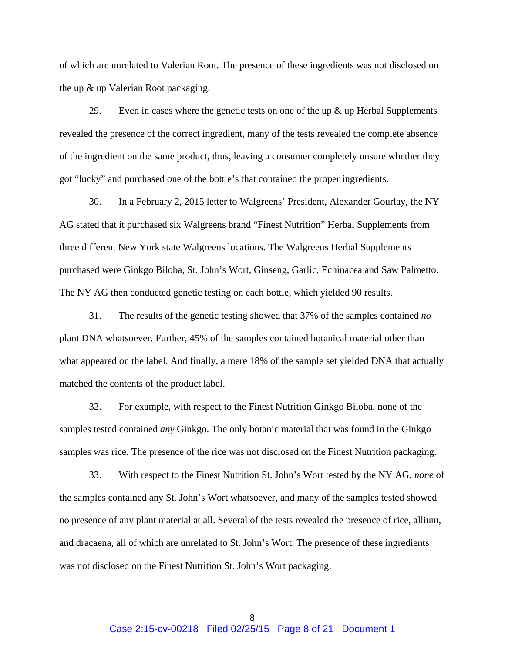of which are unrelated to Valerian Root. The presence of these ingredients was not disclosed on the up & up Valerian Root packaging.

29. Even in cases where the genetic tests on one of the up  $\&$  up Herbal Supplements revealed the presence of the correct ingredient, many of the tests revealed the complete absence of the ingredient on the same product, thus, leaving a consumer completely unsure whether they got "lucky" and purchased one of the bottle's that contained the proper ingredients.

30. In a February 2, 2015 letter to Walgreens' President, Alexander Gourlay, the NY AG stated that it purchased six Walgreens brand "Finest Nutrition" Herbal Supplements from three different New York state Walgreens locations. The Walgreens Herbal Supplements purchased were Ginkgo Biloba, St. John's Wort, Ginseng, Garlic, Echinacea and Saw Palmetto. The NY AG then conducted genetic testing on each bottle, which yielded 90 results.

31. The results of the genetic testing showed that 37% of the samples contained *no*  plant DNA whatsoever. Further, 45% of the samples contained botanical material other than what appeared on the label. And finally, a mere 18% of the sample set yielded DNA that actually matched the contents of the product label.

32. For example, with respect to the Finest Nutrition Ginkgo Biloba, none of the samples tested contained *any* Ginkgo. The only botanic material that was found in the Ginkgo samples was rice. The presence of the rice was not disclosed on the Finest Nutrition packaging.

33. With respect to the Finest Nutrition St. John's Wort tested by the NY AG, *none* of the samples contained any St. John's Wort whatsoever, and many of the samples tested showed no presence of any plant material at all. Several of the tests revealed the presence of rice, allium, and dracaena, all of which are unrelated to St. John's Wort. The presence of these ingredients was not disclosed on the Finest Nutrition St. John's Wort packaging.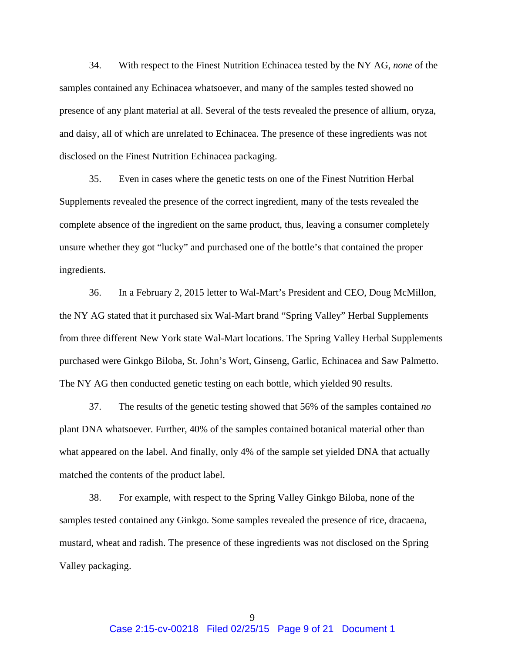34. With respect to the Finest Nutrition Echinacea tested by the NY AG, *none* of the samples contained any Echinacea whatsoever, and many of the samples tested showed no presence of any plant material at all. Several of the tests revealed the presence of allium, oryza, and daisy, all of which are unrelated to Echinacea. The presence of these ingredients was not disclosed on the Finest Nutrition Echinacea packaging.

35. Even in cases where the genetic tests on one of the Finest Nutrition Herbal Supplements revealed the presence of the correct ingredient, many of the tests revealed the complete absence of the ingredient on the same product, thus, leaving a consumer completely unsure whether they got "lucky" and purchased one of the bottle's that contained the proper ingredients.

36. In a February 2, 2015 letter to Wal-Mart's President and CEO, Doug McMillon, the NY AG stated that it purchased six Wal-Mart brand "Spring Valley" Herbal Supplements from three different New York state Wal-Mart locations. The Spring Valley Herbal Supplements purchased were Ginkgo Biloba, St. John's Wort, Ginseng, Garlic, Echinacea and Saw Palmetto. The NY AG then conducted genetic testing on each bottle, which yielded 90 results.

37. The results of the genetic testing showed that 56% of the samples contained *no*  plant DNA whatsoever. Further, 40% of the samples contained botanical material other than what appeared on the label. And finally, only 4% of the sample set yielded DNA that actually matched the contents of the product label.

38. For example, with respect to the Spring Valley Ginkgo Biloba, none of the samples tested contained any Ginkgo. Some samples revealed the presence of rice, dracaena, mustard, wheat and radish. The presence of these ingredients was not disclosed on the Spring Valley packaging.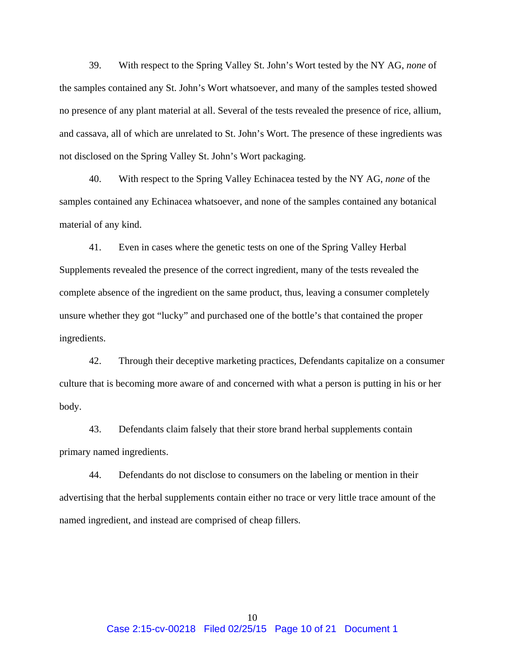39. With respect to the Spring Valley St. John's Wort tested by the NY AG, *none* of the samples contained any St. John's Wort whatsoever, and many of the samples tested showed no presence of any plant material at all. Several of the tests revealed the presence of rice, allium, and cassava, all of which are unrelated to St. John's Wort. The presence of these ingredients was not disclosed on the Spring Valley St. John's Wort packaging.

40. With respect to the Spring Valley Echinacea tested by the NY AG, *none* of the samples contained any Echinacea whatsoever, and none of the samples contained any botanical material of any kind.

41. Even in cases where the genetic tests on one of the Spring Valley Herbal Supplements revealed the presence of the correct ingredient, many of the tests revealed the complete absence of the ingredient on the same product, thus, leaving a consumer completely unsure whether they got "lucky" and purchased one of the bottle's that contained the proper ingredients.

42. Through their deceptive marketing practices, Defendants capitalize on a consumer culture that is becoming more aware of and concerned with what a person is putting in his or her body.

43. Defendants claim falsely that their store brand herbal supplements contain primary named ingredients.

44. Defendants do not disclose to consumers on the labeling or mention in their advertising that the herbal supplements contain either no trace or very little trace amount of the named ingredient, and instead are comprised of cheap fillers.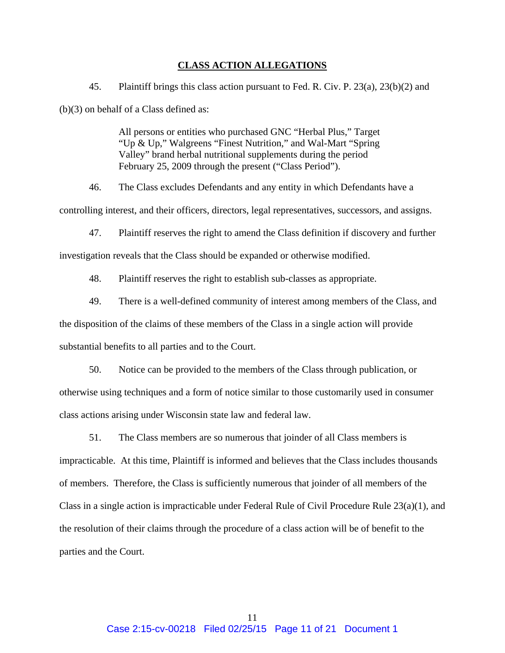#### **CLASS ACTION ALLEGATIONS**

45. Plaintiff brings this class action pursuant to Fed. R. Civ. P. 23(a), 23(b)(2) and (b)(3) on behalf of a Class defined as:

> All persons or entities who purchased GNC "Herbal Plus," Target "Up & Up," Walgreens "Finest Nutrition," and Wal-Mart "Spring Valley" brand herbal nutritional supplements during the period February 25, 2009 through the present ("Class Period").

46. The Class excludes Defendants and any entity in which Defendants have a

controlling interest, and their officers, directors, legal representatives, successors, and assigns.

47. Plaintiff reserves the right to amend the Class definition if discovery and further investigation reveals that the Class should be expanded or otherwise modified.

48. Plaintiff reserves the right to establish sub-classes as appropriate.

49. There is a well-defined community of interest among members of the Class, and

the disposition of the claims of these members of the Class in a single action will provide

substantial benefits to all parties and to the Court.

50. Notice can be provided to the members of the Class through publication, or otherwise using techniques and a form of notice similar to those customarily used in consumer class actions arising under Wisconsin state law and federal law.

51. The Class members are so numerous that joinder of all Class members is impracticable. At this time, Plaintiff is informed and believes that the Class includes thousands of members. Therefore, the Class is sufficiently numerous that joinder of all members of the Class in a single action is impracticable under Federal Rule of Civil Procedure Rule 23(a)(1), and the resolution of their claims through the procedure of a class action will be of benefit to the parties and the Court.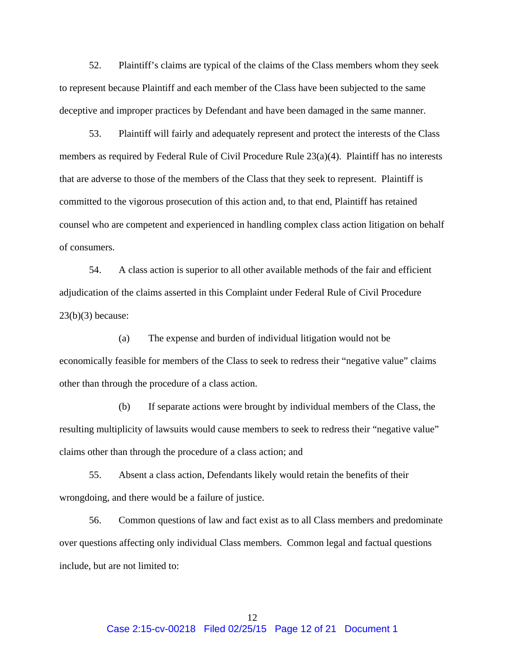52. Plaintiff's claims are typical of the claims of the Class members whom they seek to represent because Plaintiff and each member of the Class have been subjected to the same deceptive and improper practices by Defendant and have been damaged in the same manner.

53. Plaintiff will fairly and adequately represent and protect the interests of the Class members as required by Federal Rule of Civil Procedure Rule 23(a)(4). Plaintiff has no interests that are adverse to those of the members of the Class that they seek to represent. Plaintiff is committed to the vigorous prosecution of this action and, to that end, Plaintiff has retained counsel who are competent and experienced in handling complex class action litigation on behalf of consumers.

54. A class action is superior to all other available methods of the fair and efficient adjudication of the claims asserted in this Complaint under Federal Rule of Civil Procedure  $23(b)(3)$  because:

(a) The expense and burden of individual litigation would not be economically feasible for members of the Class to seek to redress their "negative value" claims other than through the procedure of a class action.

(b) If separate actions were brought by individual members of the Class, the resulting multiplicity of lawsuits would cause members to seek to redress their "negative value" claims other than through the procedure of a class action; and

55. Absent a class action, Defendants likely would retain the benefits of their wrongdoing, and there would be a failure of justice.

56. Common questions of law and fact exist as to all Class members and predominate over questions affecting only individual Class members. Common legal and factual questions include, but are not limited to: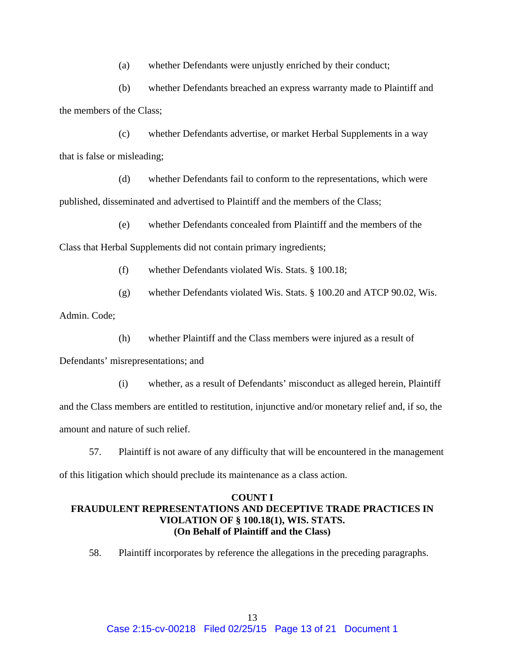(a) whether Defendants were unjustly enriched by their conduct;

(b) whether Defendants breached an express warranty made to Plaintiff and the members of the Class;

(c) whether Defendants advertise, or market Herbal Supplements in a way that is false or misleading;

(d) whether Defendants fail to conform to the representations, which were published, disseminated and advertised to Plaintiff and the members of the Class;

(e) whether Defendants concealed from Plaintiff and the members of the Class that Herbal Supplements did not contain primary ingredients;

(f) whether Defendants violated Wis. Stats. § 100.18;

(g) whether Defendants violated Wis. Stats. § 100.20 and ATCP 90.02, Wis.

Admin. Code;

(h) whether Plaintiff and the Class members were injured as a result of

Defendants' misrepresentations; and

(i) whether, as a result of Defendants' misconduct as alleged herein, Plaintiff and the Class members are entitled to restitution, injunctive and/or monetary relief and, if so, the amount and nature of such relief.

57. Plaintiff is not aware of any difficulty that will be encountered in the management of this litigation which should preclude its maintenance as a class action.

# **COUNT I FRAUDULENT REPRESENTATIONS AND DECEPTIVE TRADE PRACTICES IN VIOLATION OF § 100.18(1), WIS. STATS. (On Behalf of Plaintiff and the Class)**

58. Plaintiff incorporates by reference the allegations in the preceding paragraphs.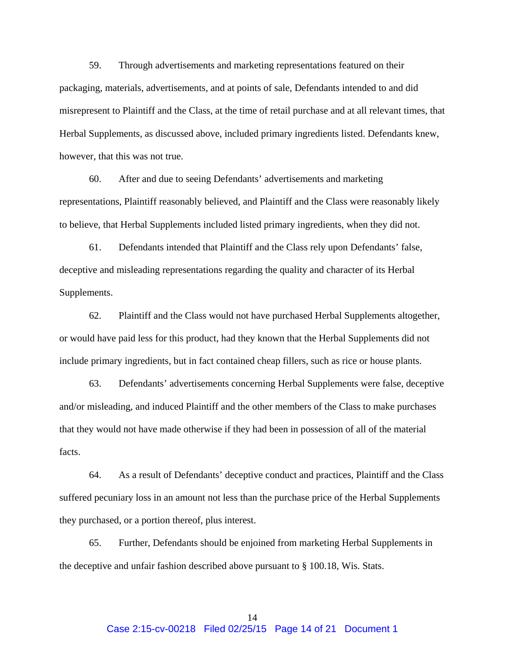59. Through advertisements and marketing representations featured on their packaging, materials, advertisements, and at points of sale, Defendants intended to and did misrepresent to Plaintiff and the Class, at the time of retail purchase and at all relevant times, that Herbal Supplements, as discussed above, included primary ingredients listed. Defendants knew, however, that this was not true.

60. After and due to seeing Defendants' advertisements and marketing representations, Plaintiff reasonably believed, and Plaintiff and the Class were reasonably likely to believe, that Herbal Supplements included listed primary ingredients, when they did not.

61. Defendants intended that Plaintiff and the Class rely upon Defendants' false, deceptive and misleading representations regarding the quality and character of its Herbal Supplements.

62. Plaintiff and the Class would not have purchased Herbal Supplements altogether, or would have paid less for this product, had they known that the Herbal Supplements did not include primary ingredients, but in fact contained cheap fillers, such as rice or house plants.

63. Defendants' advertisements concerning Herbal Supplements were false, deceptive and/or misleading, and induced Plaintiff and the other members of the Class to make purchases that they would not have made otherwise if they had been in possession of all of the material facts.

64. As a result of Defendants' deceptive conduct and practices, Plaintiff and the Class suffered pecuniary loss in an amount not less than the purchase price of the Herbal Supplements they purchased, or a portion thereof, plus interest.

65. Further, Defendants should be enjoined from marketing Herbal Supplements in the deceptive and unfair fashion described above pursuant to § 100.18, Wis. Stats.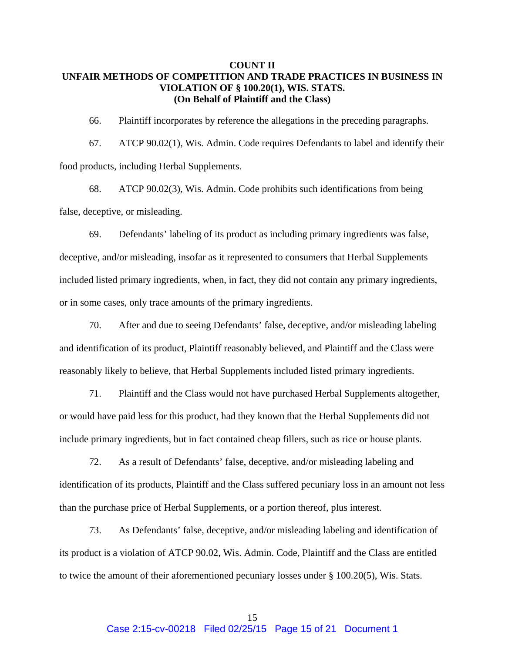# **COUNT II UNFAIR METHODS OF COMPETITION AND TRADE PRACTICES IN BUSINESS IN VIOLATION OF § 100.20(1), WIS. STATS. (On Behalf of Plaintiff and the Class)**

66. Plaintiff incorporates by reference the allegations in the preceding paragraphs.

67. ATCP 90.02(1), Wis. Admin. Code requires Defendants to label and identify their food products, including Herbal Supplements.

68. ATCP 90.02(3), Wis. Admin. Code prohibits such identifications from being false, deceptive, or misleading.

69. Defendants' labeling of its product as including primary ingredients was false, deceptive, and/or misleading, insofar as it represented to consumers that Herbal Supplements included listed primary ingredients, when, in fact, they did not contain any primary ingredients, or in some cases, only trace amounts of the primary ingredients.

70. After and due to seeing Defendants' false, deceptive, and/or misleading labeling and identification of its product, Plaintiff reasonably believed, and Plaintiff and the Class were reasonably likely to believe, that Herbal Supplements included listed primary ingredients.

71. Plaintiff and the Class would not have purchased Herbal Supplements altogether, or would have paid less for this product, had they known that the Herbal Supplements did not include primary ingredients, but in fact contained cheap fillers, such as rice or house plants.

72. As a result of Defendants' false, deceptive, and/or misleading labeling and identification of its products, Plaintiff and the Class suffered pecuniary loss in an amount not less than the purchase price of Herbal Supplements, or a portion thereof, plus interest.

73. As Defendants' false, deceptive, and/or misleading labeling and identification of its product is a violation of ATCP 90.02, Wis. Admin. Code, Plaintiff and the Class are entitled to twice the amount of their aforementioned pecuniary losses under § 100.20(5), Wis. Stats.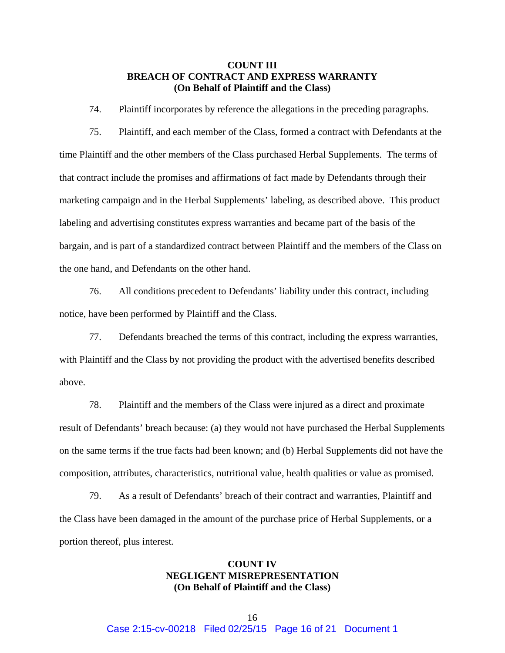# **COUNT III BREACH OF CONTRACT AND EXPRESS WARRANTY (On Behalf of Plaintiff and the Class)**

74. Plaintiff incorporates by reference the allegations in the preceding paragraphs.

75. Plaintiff, and each member of the Class, formed a contract with Defendants at the time Plaintiff and the other members of the Class purchased Herbal Supplements. The terms of that contract include the promises and affirmations of fact made by Defendants through their marketing campaign and in the Herbal Supplements' labeling, as described above. This product labeling and advertising constitutes express warranties and became part of the basis of the bargain, and is part of a standardized contract between Plaintiff and the members of the Class on the one hand, and Defendants on the other hand.

76. All conditions precedent to Defendants' liability under this contract, including notice, have been performed by Plaintiff and the Class.

77. Defendants breached the terms of this contract, including the express warranties, with Plaintiff and the Class by not providing the product with the advertised benefits described above.

78. Plaintiff and the members of the Class were injured as a direct and proximate result of Defendants' breach because: (a) they would not have purchased the Herbal Supplements on the same terms if the true facts had been known; and (b) Herbal Supplements did not have the composition, attributes, characteristics, nutritional value, health qualities or value as promised.

79. As a result of Defendants' breach of their contract and warranties, Plaintiff and the Class have been damaged in the amount of the purchase price of Herbal Supplements, or a portion thereof, plus interest.

# **COUNT IV NEGLIGENT MISREPRESENTATION (On Behalf of Plaintiff and the Class)**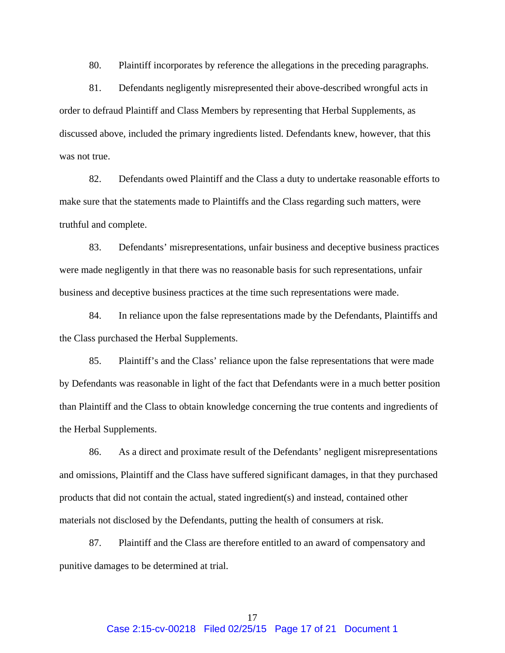80. Plaintiff incorporates by reference the allegations in the preceding paragraphs.

81. Defendants negligently misrepresented their above-described wrongful acts in order to defraud Plaintiff and Class Members by representing that Herbal Supplements, as discussed above, included the primary ingredients listed. Defendants knew, however, that this was not true.

82. Defendants owed Plaintiff and the Class a duty to undertake reasonable efforts to make sure that the statements made to Plaintiffs and the Class regarding such matters, were truthful and complete.

83. Defendants' misrepresentations, unfair business and deceptive business practices were made negligently in that there was no reasonable basis for such representations, unfair business and deceptive business practices at the time such representations were made.

84. In reliance upon the false representations made by the Defendants, Plaintiffs and the Class purchased the Herbal Supplements.

85. Plaintiff's and the Class' reliance upon the false representations that were made by Defendants was reasonable in light of the fact that Defendants were in a much better position than Plaintiff and the Class to obtain knowledge concerning the true contents and ingredients of the Herbal Supplements.

86. As a direct and proximate result of the Defendants' negligent misrepresentations and omissions, Plaintiff and the Class have suffered significant damages, in that they purchased products that did not contain the actual, stated ingredient(s) and instead, contained other materials not disclosed by the Defendants, putting the health of consumers at risk.

87. Plaintiff and the Class are therefore entitled to an award of compensatory and punitive damages to be determined at trial.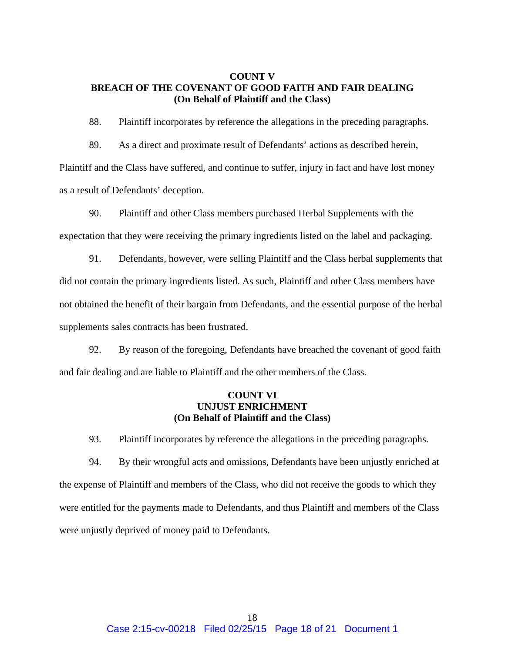# **COUNT V BREACH OF THE COVENANT OF GOOD FAITH AND FAIR DEALING (On Behalf of Plaintiff and the Class)**

88. Plaintiff incorporates by reference the allegations in the preceding paragraphs.

89. As a direct and proximate result of Defendants' actions as described herein, Plaintiff and the Class have suffered, and continue to suffer, injury in fact and have lost money as a result of Defendants' deception.

90. Plaintiff and other Class members purchased Herbal Supplements with the expectation that they were receiving the primary ingredients listed on the label and packaging.

91. Defendants, however, were selling Plaintiff and the Class herbal supplements that did not contain the primary ingredients listed. As such, Plaintiff and other Class members have not obtained the benefit of their bargain from Defendants, and the essential purpose of the herbal supplements sales contracts has been frustrated.

92. By reason of the foregoing, Defendants have breached the covenant of good faith and fair dealing and are liable to Plaintiff and the other members of the Class.

# **COUNT VI UNJUST ENRICHMENT (On Behalf of Plaintiff and the Class)**

93. Plaintiff incorporates by reference the allegations in the preceding paragraphs.

94. By their wrongful acts and omissions, Defendants have been unjustly enriched at the expense of Plaintiff and members of the Class, who did not receive the goods to which they were entitled for the payments made to Defendants, and thus Plaintiff and members of the Class were unjustly deprived of money paid to Defendants.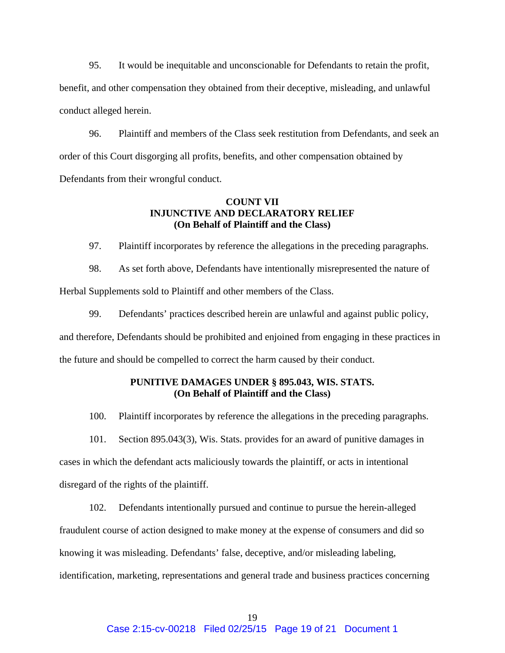95. It would be inequitable and unconscionable for Defendants to retain the profit, benefit, and other compensation they obtained from their deceptive, misleading, and unlawful conduct alleged herein.

96. Plaintiff and members of the Class seek restitution from Defendants, and seek an order of this Court disgorging all profits, benefits, and other compensation obtained by Defendants from their wrongful conduct.

### **COUNT VII INJUNCTIVE AND DECLARATORY RELIEF (On Behalf of Plaintiff and the Class)**

97. Plaintiff incorporates by reference the allegations in the preceding paragraphs.

98. As set forth above, Defendants have intentionally misrepresented the nature of Herbal Supplements sold to Plaintiff and other members of the Class.

99. Defendants' practices described herein are unlawful and against public policy, and therefore, Defendants should be prohibited and enjoined from engaging in these practices in the future and should be compelled to correct the harm caused by their conduct.

# **PUNITIVE DAMAGES UNDER § 895.043, WIS. STATS. (On Behalf of Plaintiff and the Class)**

100. Plaintiff incorporates by reference the allegations in the preceding paragraphs.

101. Section 895.043(3), Wis. Stats. provides for an award of punitive damages in cases in which the defendant acts maliciously towards the plaintiff, or acts in intentional disregard of the rights of the plaintiff.

102. Defendants intentionally pursued and continue to pursue the herein-alleged fraudulent course of action designed to make money at the expense of consumers and did so knowing it was misleading. Defendants' false, deceptive, and/or misleading labeling, identification, marketing, representations and general trade and business practices concerning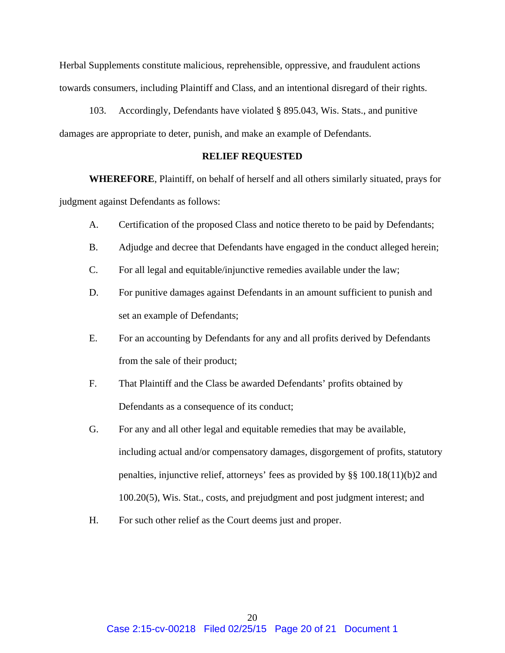Herbal Supplements constitute malicious, reprehensible, oppressive, and fraudulent actions towards consumers, including Plaintiff and Class, and an intentional disregard of their rights.

103. Accordingly, Defendants have violated § 895.043, Wis. Stats., and punitive damages are appropriate to deter, punish, and make an example of Defendants.

#### **RELIEF REQUESTED**

**WHEREFORE**, Plaintiff, on behalf of herself and all others similarly situated, prays for judgment against Defendants as follows:

- A. Certification of the proposed Class and notice thereto to be paid by Defendants;
- B. Adjudge and decree that Defendants have engaged in the conduct alleged herein;
- C. For all legal and equitable/injunctive remedies available under the law;
- D. For punitive damages against Defendants in an amount sufficient to punish and set an example of Defendants;
- E. For an accounting by Defendants for any and all profits derived by Defendants from the sale of their product;
- F. That Plaintiff and the Class be awarded Defendants' profits obtained by Defendants as a consequence of its conduct;
- G. For any and all other legal and equitable remedies that may be available, including actual and/or compensatory damages, disgorgement of profits, statutory penalties, injunctive relief, attorneys' fees as provided by §§ 100.18(11)(b)2 and 100.20(5), Wis. Stat., costs, and prejudgment and post judgment interest; and
- H. For such other relief as the Court deems just and proper.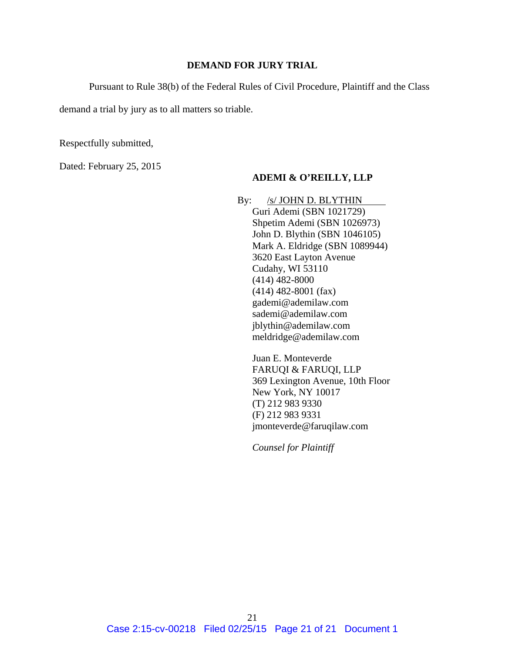#### **DEMAND FOR JURY TRIAL**

Pursuant to Rule 38(b) of the Federal Rules of Civil Procedure, Plaintiff and the Class

demand a trial by jury as to all matters so triable.

Respectfully submitted,

Dated: February 25, 2015

#### **ADEMI & O'REILLY, LLP**

 By: /s/ JOHN D. BLYTHIN Guri Ademi (SBN 1021729) Shpetim Ademi (SBN 1026973) John D. Blythin (SBN 1046105) Mark A. Eldridge (SBN 1089944) 3620 East Layton Avenue Cudahy, WI 53110 (414) 482-8000 (414) 482-8001 (fax) gademi@ademilaw.com sademi@ademilaw.com jblythin@ademilaw.com meldridge@ademilaw.com

Juan E. Monteverde FARUQI & FARUQI, LLP 369 Lexington Avenue, 10th Floor New York, NY 10017 (T) 212 983 9330 (F) 212 983 9331 jmonteverde@faruqilaw.com

*Counsel for Plaintiff*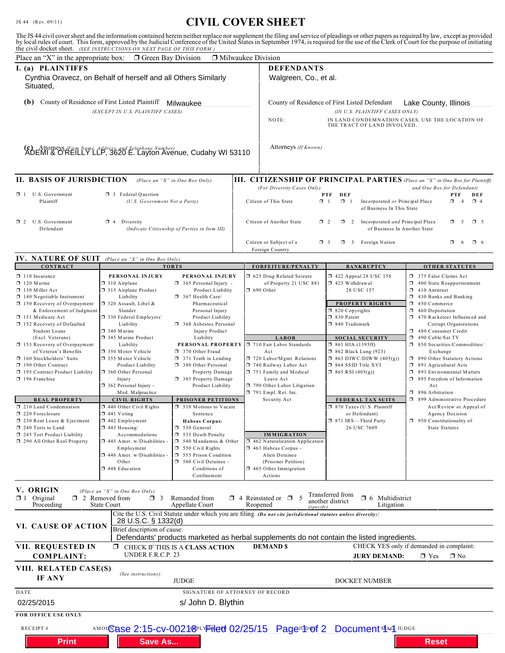# JS 44 (Rev. 09/11) **CIVIL COVER SHEET**

The JS 44 civil cover sheet and the information contained herein neither replace nor supplement the filing and service of pleadings or other papers as required by law, except as provided<br>by local rules of court. This form,

|                                                                                                                          | the Civil Gocket Sheet. (SEE INSTRUCTIONS ON NEAT FAGE OF THIS FORM.)             |                                                 |                                                                                                                                         |                                                                                        |                                                                             |  |
|--------------------------------------------------------------------------------------------------------------------------|-----------------------------------------------------------------------------------|-------------------------------------------------|-----------------------------------------------------------------------------------------------------------------------------------------|----------------------------------------------------------------------------------------|-----------------------------------------------------------------------------|--|
| Place an "X" in the appropriate box:                                                                                     | $\Box$ Green Bay Division                                                         |                                                 | <b>X</b> Milwaukee Division                                                                                                             |                                                                                        |                                                                             |  |
| I. (a) PLAINTIFFS<br>Cynthia Oravecz, on Behalf of herself and all Others Similarly                                      |                                                                                   |                                                 | <b>DEFENDANTS</b><br>Walgreen, Co., et al.                                                                                              |                                                                                        |                                                                             |  |
| Situated,                                                                                                                |                                                                                   |                                                 |                                                                                                                                         |                                                                                        |                                                                             |  |
| (b)                                                                                                                      | County of Residence of First Listed Plaintiff<br>(EXCEPT IN U.S. PLAINTIFF CASES) | Milwaukee                                       | County of Residence of First Listed Defendant<br>Lake County, Illinois<br>(IN U.S. PLAINTIFF CASES ONLY)                                |                                                                                        |                                                                             |  |
|                                                                                                                          |                                                                                   |                                                 | NOTE:                                                                                                                                   | THE TRACT OF LAND INVOLVED.                                                            | IN LAND CONDEMNATION CASES, USE THE LOCATION OF                             |  |
| (c) Attorneys (Firm Name, Address, and Telephone Number)<br>ADEMI & O'REILLY LLP, 3620 E. Layton Avenue, Cudahy WI 53110 |                                                                                   |                                                 | Attorneys (If Known)                                                                                                                    |                                                                                        |                                                                             |  |
| <b>II. BASIS OF JURISDICTION</b>                                                                                         |                                                                                   | (Place an "X" in One Box Only)                  | <b>III. CITIZENSHIP OF PRINCIPAL PARTIES</b> (Place an "X" in One Box for Plaintiff)                                                    |                                                                                        |                                                                             |  |
| $\Box$ 1 U.S. Government<br>Plaintiff                                                                                    | <b>3</b> Federal Question<br>(U.S. Government Not a Party)                        |                                                 | (For Diversity Cases Only)<br>$\mathbf{X}$ 1<br>Citizen of This State                                                                   | PTF<br>DEF<br>$\Box$ 1<br>Incorporated or Principal Place<br>of Business In This State | and One Box for Defendant)<br>PTF<br>DEF<br>σ<br>$\overline{4}$<br>$\Box$ 4 |  |
| $\Box$ 2 U.S. Government<br>Defendant                                                                                    | $\boxtimes$ 4 Diversity                                                           | (Indicate Citizenship of Parties in Item III)   | Citizen of Another State<br>$\Box$ 2                                                                                                    | Incorporated and Principal Place<br>$\Box$ 2<br>of Business In Another State           | $\mathbf{X}$ 5<br>σ.<br>-5                                                  |  |
|                                                                                                                          |                                                                                   |                                                 | Citizen or Subject of a<br>$\Box$ 3<br>Foreign Country                                                                                  | 1 3 Foreign Nation                                                                     | σ.<br>-6<br>$\Box$ 6                                                        |  |
| <b>IV. NATURE OF SUIT</b><br><b>CONTRACT</b>                                                                             | (Place an "X" in One Box Only)                                                    | <b>TORTS</b>                                    | <b>FORFEITURE/PENALTY</b>                                                                                                               | <b>BANKRUPTCY</b>                                                                      | <b>OTHER STATUTES</b>                                                       |  |
| $\Box$ 110 Insurance                                                                                                     | PERSONAL INJURY                                                                   | PERSONAL INJURY                                 | 5 625 Drug Related Seizure                                                                                                              | 158 122 Appeal 28 USC 158                                                              | □ 375 False Claims Act                                                      |  |
| $\Box$ 120 Marine                                                                                                        | $\Box$ 310 Airplane                                                               | 365 Personal Injury -                           | of Property 21 USC 881                                                                                                                  | 1 423 Withdrawal                                                                       | $\Box$ 400 State Reapportionment                                            |  |
| $\Box$ 130 Miller Act                                                                                                    | 315 Airplane Product                                                              | Product Liability                               | $\Box$ 690 Other                                                                                                                        | 28 USC 157                                                                             | $\Box$ 410 Antitrust                                                        |  |
| $\Box$ 140 Negotiable Instrument<br>150 Recovery of Overpayment                                                          | Liability<br>□ 320 Assault, Libel &                                               | 367 Health Care/<br>Pharmaceutical              |                                                                                                                                         | PROPERTY RIGHTS                                                                        | □ 430 Banks and Banking<br>1 450 Commerce                                   |  |
| & Enforcement of Judgment                                                                                                | Slander                                                                           | Personal Injury                                 |                                                                                                                                         | □ 820 Copyrights                                                                       | $\Box$ 460 Deportation                                                      |  |
| □ 151 Medicare Act                                                                                                       | 330 Federal Employers'                                                            | Product Liability                               |                                                                                                                                         | □ 830 Patent                                                                           | □ 470 Racketeer Influenced and                                              |  |
| □ 152 Recovery of Defaulted                                                                                              | Liability                                                                         | 368 Asbestos Personal                           |                                                                                                                                         | □ 840 Trademark                                                                        | Corrupt Organizations                                                       |  |
| Student Loans<br>(Excl. Veterans)                                                                                        | 340 Marine<br>345 Marine Product                                                  | Injury Product<br>Liability                     | <b>LABOR</b>                                                                                                                            | <b>SOCIAL SECURITY</b>                                                                 | 480 Consumer Credit<br>$\Box$ 490 Cable/Sat TV                              |  |
| 153 Recovery of Overpayment                                                                                              | Liability                                                                         |                                                 | PERSONAL PROPERTY J 710 Fair Labor Standards                                                                                            | $\Box$ 861 HIA (1395ff)                                                                | □ 850 Securities/Commodities/                                               |  |
| of Veteran's Benefits                                                                                                    | □ 350 Motor Vehicle                                                               | 370 Other Fraud                                 | Act                                                                                                                                     | $\Box$ 862 Black Lung (923)                                                            | Exchange                                                                    |  |
| 160 Stockholders' Suits                                                                                                  | 355 Motor Vehicle                                                                 | 371 Truth in Lending                            | 720 Labor/Mgmt. Relations                                                                                                               | $\Box$ 863 DIWC/DIWW (405(g))                                                          | 890 Other Statutory Actions                                                 |  |
| 190 Other Contract<br>195 Contract Product Liability                                                                     | <b>Product Liability</b><br>360 Other Personal                                    | 380 Other Personal<br>Property Damage           | 740 Railway Labor Act<br>751 Family and Medical                                                                                         | □ 864 SSID Title XVI<br>$\Box$ 865 RSI (405(g))                                        | $\Box$<br>891 Agricultural Acts<br>□ 893 Environmental Matters              |  |
| $\Box$ 196 Franchise                                                                                                     | Injury                                                                            | 385 Property Damage                             | Leave Act                                                                                                                               |                                                                                        | □ 895 Freedom of Information                                                |  |
|                                                                                                                          | 362 Personal Injury -                                                             | Product Liability                               | 790 Other Labor Litigation                                                                                                              |                                                                                        | Act                                                                         |  |
| <b>REAL PROPERTY</b>                                                                                                     | Med. Malpractice<br><b>CIVIL RIGHTS</b>                                           | PRISONER PETITIONS                              | 791 Empl. Ret. Inc.<br>Security Act                                                                                                     | FEDERAL TAX SUITS                                                                      | □ 896 Arbitration<br>□ 899 Administrative Procedure                         |  |
| 1 210 Land Condemnation                                                                                                  | 440 Other Civil Rights                                                            | 510 Motions to Vacate                           |                                                                                                                                         | □ 870 Taxes (U.S. Plaintiff                                                            | Act/Review or Appeal of                                                     |  |
| 220 Foreclosure                                                                                                          | $\Box$ 441 Voting                                                                 | Sentence                                        |                                                                                                                                         | or Defendant)                                                                          | Agency Decision                                                             |  |
| $\Box$ 230 Rent Lease & Ejectment<br>240 Torts to Land                                                                   | $\Box$ 442 Employment<br>$\Box$ 443 Housing/                                      | Habeas Corpus:<br>530 General                   |                                                                                                                                         | □ 871 IRS—Third Party<br>26 USC 7609                                                   | $\Box$ 950 Constitutionality of<br><b>State Statutes</b>                    |  |
| 245 Tort Product Liability                                                                                               | Accommodations                                                                    | 535 Death Penalty<br>Ω.                         | <b>IMMIGRATION</b>                                                                                                                      |                                                                                        |                                                                             |  |
| 1 290 All Other Real Property                                                                                            | $\Box$ 445 Amer. w/Disabilities -                                                 | □ 540 Mandamus & Other                          | □ 462 Naturalization Application                                                                                                        |                                                                                        |                                                                             |  |
|                                                                                                                          | Employment<br>446 Amer. w/Disabilities -                                          | $\Box$ 550 Civil Rights<br>555 Prison Condition | 1 463 Habeas Corpus -<br>Alien Detainee                                                                                                 |                                                                                        |                                                                             |  |
|                                                                                                                          | Other                                                                             | 560 Civil Detainee -                            | (Prisoner Petition)                                                                                                                     |                                                                                        |                                                                             |  |
|                                                                                                                          | 448 Education                                                                     | Conditions of                                   | 1 465 Other Immigration                                                                                                                 |                                                                                        |                                                                             |  |
|                                                                                                                          |                                                                                   | Confinement                                     | Actions                                                                                                                                 |                                                                                        |                                                                             |  |
| V. ORIGIN<br>$\boxtimes$ 1 Original<br>ο.                                                                                | (Place an "X" in One Box Only)<br>2 Removed from<br>$\Box$ 3                      | Remanded from                                   | $\Box$ 4 Reinstated or $\Box$ 5                                                                                                         | Transferred from<br>$\Box$ 6 Multidistrict<br>another district                         |                                                                             |  |
| Proceeding                                                                                                               | <b>State Court</b>                                                                | Appellate Court                                 | Reopened<br>(specify)<br>Cite the U.S. Civil Statute under which you are filing (Do not cite jurisdictional statutes unless diversity): | Litigation                                                                             |                                                                             |  |
| <b>VI. CAUSE OF ACTION</b>                                                                                               | 28 U.S.C. § 1332(d)                                                               |                                                 |                                                                                                                                         |                                                                                        |                                                                             |  |
|                                                                                                                          | Brief description of cause:                                                       |                                                 | Defendants' products marketed as herbal supplements do not contain the listed ingredients.                                              |                                                                                        |                                                                             |  |
| VII. REQUESTED IN<br><b>COMPLAINT:</b>                                                                                   | ☑<br>UNDER F.R.C.P. 23                                                            | CHECK IF THIS IS A CLASS ACTION                 | <b>DEMAND \$</b>                                                                                                                        | <b>JURY DEMAND:</b>                                                                    | CHECK YES only if demanded in complaint:<br>$\blacksquare$ Yes<br>$\Box$ No |  |
| VIII. RELATED CASE(S)<br>IF ANY                                                                                          | (See instructions):                                                               | JUDGE                                           |                                                                                                                                         | DOCKET NUMBER                                                                          |                                                                             |  |
| DATE                                                                                                                     |                                                                                   |                                                 | SIGNATURE OF ATTORNEY OF RECORD                                                                                                         |                                                                                        |                                                                             |  |
| 02/25/2015                                                                                                               |                                                                                   | s/ John D. Blythin                              |                                                                                                                                         |                                                                                        |                                                                             |  |
| FOR OFFICE USE ONLY                                                                                                      |                                                                                   |                                                 |                                                                                                                                         |                                                                                        |                                                                             |  |
| RECEIPT#                                                                                                                 |                                                                                   |                                                 |                                                                                                                                         |                                                                                        |                                                                             |  |
| <b>Print</b>                                                                                                             | Save As                                                                           |                                                 | AMOLCase 2:15-CV-0021&PLYFiled 02/25/15 Page 10 of 2 Document MA4 JUDGE                                                                 |                                                                                        | <b>Reset</b>                                                                |  |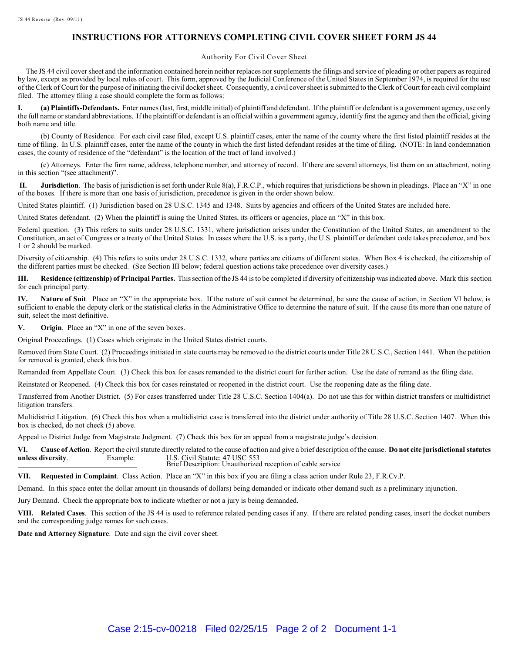#### **INSTRUCTIONS FOR ATTORNEYS COMPLETING CIVIL COVER SHEET FORM JS 44**

#### Authority For Civil Cover Sheet

The JS 44 civil cover sheet and the information contained herein neither replaces nor supplements the filings and service of pleading or other papers as required by law, except as provided by local rules of court. This form, approved by the Judicial Conference of the United States in September 1974, is required for the use of the Clerk of Court for the purpose of initiating the civil docket sheet. Consequently, a civil cover sheet is submitted to the Clerk of Court for each civil complaint filed. The attorney filing a case should complete the form as follows:

**I. (a) Plaintiffs-Defendants.** Enter names (last, first, middle initial) of plaintiff and defendant. If the plaintiff or defendant is a government agency, use only the full name or standard abbreviations. If the plaintiff or defendant is an official within a government agency, identify first the agency and then the official, giving both name and title.

(b) County of Residence. For each civil case filed, except U.S. plaintiff cases, enter the name of the county where the first listed plaintiff resides at the time of filing. In U.S. plaintiff cases, enter the name of the county in which the first listed defendant resides at the time of filing. (NOTE: In land condemnation cases, the county of residence of the "defendant" is the location of the tract of land involved.)

(c) Attorneys. Enter the firm name, address, telephone number, and attorney of record. If there are several attorneys, list them on an attachment, noting in this section "(see attachment)".

 **II. Jurisdiction**. The basis of jurisdiction is set forth under Rule 8(a), F.R.C.P., which requires that jurisdictions be shown in pleadings. Place an "X" in one of the boxes. If there is more than one basis of jurisdiction, precedence is given in the order shown below.

United States plaintiff. (1) Jurisdiction based on 28 U.S.C. 1345 and 1348. Suits by agencies and officers of the United States are included here.

United States defendant. (2) When the plaintiff is suing the United States, its officers or agencies, place an "X" in this box.

Federal question. (3) This refers to suits under 28 U.S.C. 1331, where jurisdiction arises under the Constitution of the United States, an amendment to the Constitution, an act of Congress or a treaty of the United States. In cases where the U.S. is a party, the U.S. plaintiff or defendant code takes precedence, and box 1 or 2 should be marked.

Diversity of citizenship. (4) This refers to suits under 28 U.S.C. 1332, where parties are citizens of different states. When Box 4 is checked, the citizenship of the different parties must be checked. (See Section III below; federal question actions take precedence over diversity cases.)

**III. Residence (citizenship) of Principal Parties.** This section of the JS 44 is to be completed if diversity of citizenship was indicated above. Mark this section for each principal party.

**IV. Nature of Suit**. Place an "X" in the appropriate box. If the nature of suit cannot be determined, be sure the cause of action, in Section VI below, is sufficient to enable the deputy clerk or the statistical clerks in the Administrative Office to determine the nature of suit. If the cause fits more than one nature of suit, select the most definitive.

**V. Origin**. Place an "X" in one of the seven boxes.

Original Proceedings. (1) Cases which originate in the United States district courts.

Removed from State Court. (2) Proceedings initiated in state courts may be removed to the district courts under Title 28 U.S.C., Section 1441. When the petition for removal is granted, check this box.

Remanded from Appellate Court. (3) Check this box for cases remanded to the district court for further action. Use the date of remand as the filing date.

Reinstated or Reopened. (4) Check this box for cases reinstated or reopened in the district court. Use the reopening date as the filing date.

Transferred from Another District. (5) For cases transferred under Title 28 U.S.C. Section 1404(a). Do not use this for within district transfers or multidistrict litigation transfers.

Multidistrict Litigation. (6) Check this box when a multidistrict case is transferred into the district under authority of Title 28 U.S.C. Section 1407. When this box is checked, do not check (5) above.

Appeal to District Judge from Magistrate Judgment. (7) Check this box for an appeal from a magistrate judge's decision.

**VI. Cause of Action**. Report the civil statute directly related to the cause of action and give a brief description of the cause. **Do not cite jurisdictional statutes unless diversity.** Example: U.S. Civil Statute: 47 USC 553<br>Brief Description: Unauthorized reception of cable service

**VII. Requested in Complaint**. Class Action. Place an "X" in this box if you are filing a class action under Rule 23, F.R.Cv.P.

Demand. In this space enter the dollar amount (in thousands of dollars) being demanded or indicate other demand such as a preliminary injunction.

Jury Demand. Check the appropriate box to indicate whether or not a jury is being demanded.

**VIII. Related Cases**. This section of the JS 44 is used to reference related pending cases if any. If there are related pending cases, insert the docket numbers and the corresponding judge names for such cases.

**Date and Attorney Signature**. Date and sign the civil cover sheet.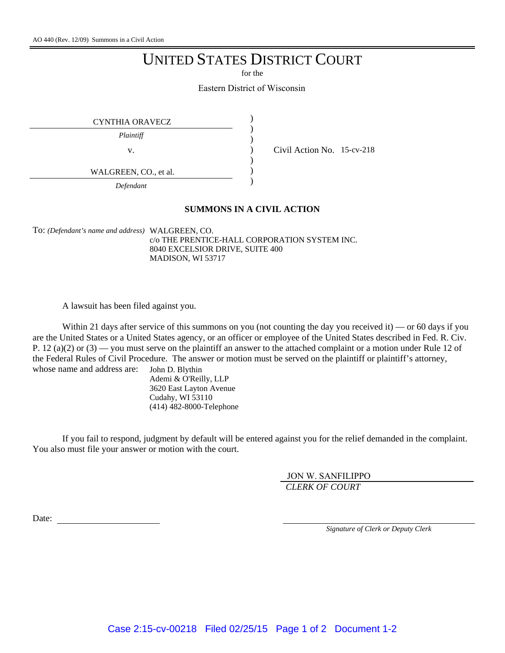# UNITED STATES DISTRICT COURT

for the

Eastern District of Wisconsin

| CYNTHIA ORAVECZ       |                            |  |
|-----------------------|----------------------------|--|
| Plaintiff             |                            |  |
| v.                    | Civil Action No. 15-cv-218 |  |
|                       |                            |  |
| WALGREEN, CO., et al. |                            |  |
| Defendant             |                            |  |

**SUMMONS IN A CIVIL ACTION**

To: *(Defendant's name and address)* WALGREEN, CO. c/o THE PRENTICE-HALL CORPORATION SYSTEM INC. 8040 EXCELSIOR DRIVE, SUITE 400 MADISON, WI 53717

A lawsuit has been filed against you.

Within 21 days after service of this summons on you (not counting the day you received it) — or 60 days if you are the United States or a United States agency, or an officer or employee of the United States described in Fed. R. Civ. P. 12 (a)(2) or  $(3)$  — you must serve on the plaintiff an answer to the attached complaint or a motion under Rule 12 of the Federal Rules of Civil Procedure. The answer or motion must be served on the plaintiff or plaintiff's attorney, whose name and address are:

John D. Blythin Ademi & O'Reilly, LLP 3620 East Layton Avenue Cudahy, WI 53110 (414) 482-8000-Telephone

If you fail to respond, judgment by default will be entered against you for the relief demanded in the complaint. You also must file your answer or motion with the court.

> *CLERK OF COURT* JON W. SANFILIPPO

Date:

*Signature of Clerk or Deputy Clerk*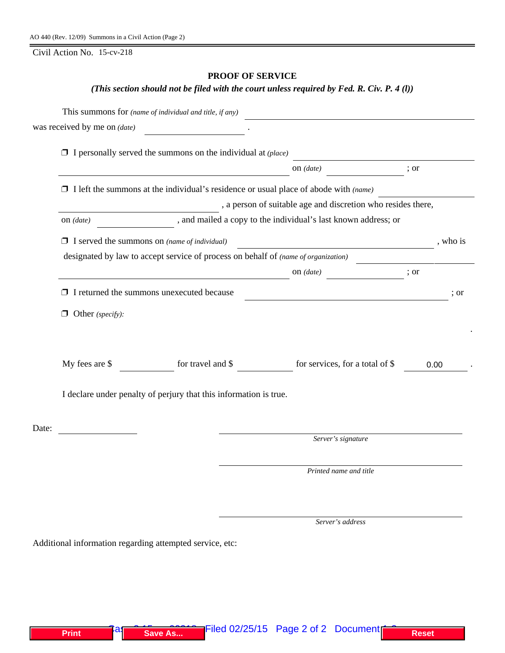Civil Action No. 15-cv-218

#### **PROOF OF SERVICE**

# *(This section should not be filed with the court unless required by Fed. R. Civ. P. 4 (l))*

|       |                                                                                             | This summons for (name of individual and title, if any)           |                                                                                    |          |  |  |  |
|-------|---------------------------------------------------------------------------------------------|-------------------------------------------------------------------|------------------------------------------------------------------------------------|----------|--|--|--|
|       | was received by me on <i>(date)</i>                                                         |                                                                   |                                                                                    |          |  |  |  |
|       | $\Box$ I personally served the summons on the individual at (place)                         |                                                                   |                                                                                    |          |  |  |  |
|       |                                                                                             |                                                                   | $\frac{1}{\sqrt{1-\frac{1}{2}}\cdot\frac{1}{\sqrt{1-\frac{1}{2}}}}$                | ; or     |  |  |  |
|       | $\Box$ I left the summons at the individual's residence or usual place of abode with (name) |                                                                   |                                                                                    |          |  |  |  |
|       | , a person of suitable age and discretion who resides there,                                |                                                                   |                                                                                    |          |  |  |  |
|       | , and mailed a copy to the individual's last known address; or<br>on (date)                 |                                                                   |                                                                                    |          |  |  |  |
|       |                                                                                             | $\Box$ I served the summons on (name of individual)               | <u> Andrew Marian (1986)</u>                                                       | , who is |  |  |  |
|       |                                                                                             |                                                                   | designated by law to accept service of process on behalf of (name of organization) |          |  |  |  |
|       |                                                                                             |                                                                   | on (date)                                                                          | ; or     |  |  |  |
|       |                                                                                             | $\Box$ I returned the summons unexecuted because                  |                                                                                    | ; or     |  |  |  |
|       | $\Box$ Other (specify):                                                                     |                                                                   |                                                                                    |          |  |  |  |
|       |                                                                                             |                                                                   |                                                                                    |          |  |  |  |
|       | My fees are \$                                                                              |                                                                   | for travel and \$ for services, for a total of \$                                  | 0.00     |  |  |  |
|       |                                                                                             | I declare under penalty of perjury that this information is true. |                                                                                    |          |  |  |  |
|       |                                                                                             |                                                                   |                                                                                    |          |  |  |  |
| Date: |                                                                                             |                                                                   | Server's signature                                                                 |          |  |  |  |
|       |                                                                                             |                                                                   | Printed name and title                                                             |          |  |  |  |
|       |                                                                                             |                                                                   |                                                                                    |          |  |  |  |
|       |                                                                                             |                                                                   | Server's address                                                                   |          |  |  |  |

Additional information regarding attempted service, etc: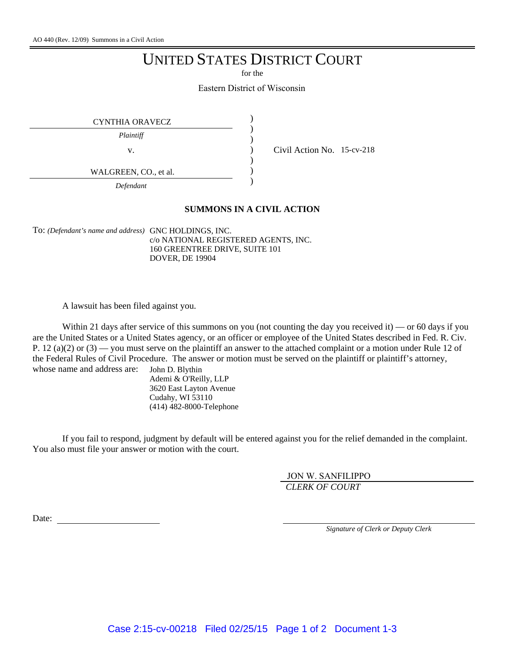# UNITED STATES DISTRICT COURT

for the

Eastern District of Wisconsin

| CYNTHIA ORAVECZ       |                            |  |
|-----------------------|----------------------------|--|
| Plaintiff             |                            |  |
| v.                    | Civil Action No. 15-cv-218 |  |
|                       |                            |  |
| WALGREEN, CO., et al. |                            |  |
| Defendant             |                            |  |

**SUMMONS IN A CIVIL ACTION**

To: *(Defendant's name and address)* GNC HOLDINGS, INC. c/o NATIONAL REGISTERED AGENTS, INC. 160 GREENTREE DRIVE, SUITE 101 DOVER, DE 19904

A lawsuit has been filed against you.

Within 21 days after service of this summons on you (not counting the day you received it) — or 60 days if you are the United States or a United States agency, or an officer or employee of the United States described in Fed. R. Civ. P. 12 (a)(2) or  $(3)$  — you must serve on the plaintiff an answer to the attached complaint or a motion under Rule 12 of the Federal Rules of Civil Procedure. The answer or motion must be served on the plaintiff or plaintiff's attorney, whose name and address are:

John D. Blythin Ademi & O'Reilly, LLP 3620 East Layton Avenue Cudahy, WI 53110 (414) 482-8000-Telephone

If you fail to respond, judgment by default will be entered against you for the relief demanded in the complaint. You also must file your answer or motion with the court.

> *CLERK OF COURT* JON W. SANFILIPPO

Date:

*Signature of Clerk or Deputy Clerk*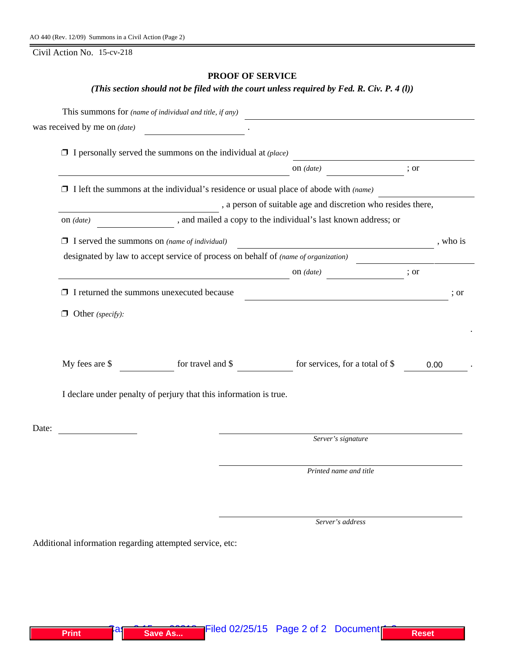Civil Action No. 15-cv-218

#### **PROOF OF SERVICE**

# *(This section should not be filed with the court unless required by Fed. R. Civ. P. 4 (l))*

|       |                                                                                             | This summons for (name of individual and title, if any)           |                                                                                    |          |  |  |  |
|-------|---------------------------------------------------------------------------------------------|-------------------------------------------------------------------|------------------------------------------------------------------------------------|----------|--|--|--|
|       | was received by me on <i>(date)</i>                                                         |                                                                   |                                                                                    |          |  |  |  |
|       | $\Box$ I personally served the summons on the individual at (place)                         |                                                                   |                                                                                    |          |  |  |  |
|       |                                                                                             |                                                                   | $\frac{1}{\sqrt{1-\frac{1}{2}}\cdot\frac{1}{\sqrt{1-\frac{1}{2}}}}$                | ; or     |  |  |  |
|       | $\Box$ I left the summons at the individual's residence or usual place of abode with (name) |                                                                   |                                                                                    |          |  |  |  |
|       | , a person of suitable age and discretion who resides there,                                |                                                                   |                                                                                    |          |  |  |  |
|       | , and mailed a copy to the individual's last known address; or<br>on (date)                 |                                                                   |                                                                                    |          |  |  |  |
|       |                                                                                             | $\Box$ I served the summons on (name of individual)               | <u> Andrew Marian (1986)</u>                                                       | , who is |  |  |  |
|       |                                                                                             |                                                                   | designated by law to accept service of process on behalf of (name of organization) |          |  |  |  |
|       |                                                                                             |                                                                   | on (date)                                                                          | ; or     |  |  |  |
|       |                                                                                             | $\Box$ I returned the summons unexecuted because                  |                                                                                    | ; or     |  |  |  |
|       | $\Box$ Other (specify):                                                                     |                                                                   |                                                                                    |          |  |  |  |
|       |                                                                                             |                                                                   |                                                                                    |          |  |  |  |
|       | My fees are \$                                                                              |                                                                   | for travel and \$ for services, for a total of \$                                  | 0.00     |  |  |  |
|       |                                                                                             | I declare under penalty of perjury that this information is true. |                                                                                    |          |  |  |  |
|       |                                                                                             |                                                                   |                                                                                    |          |  |  |  |
| Date: |                                                                                             |                                                                   | Server's signature                                                                 |          |  |  |  |
|       |                                                                                             |                                                                   | Printed name and title                                                             |          |  |  |  |
|       |                                                                                             |                                                                   |                                                                                    |          |  |  |  |
|       |                                                                                             |                                                                   | Server's address                                                                   |          |  |  |  |

Additional information regarding attempted service, etc: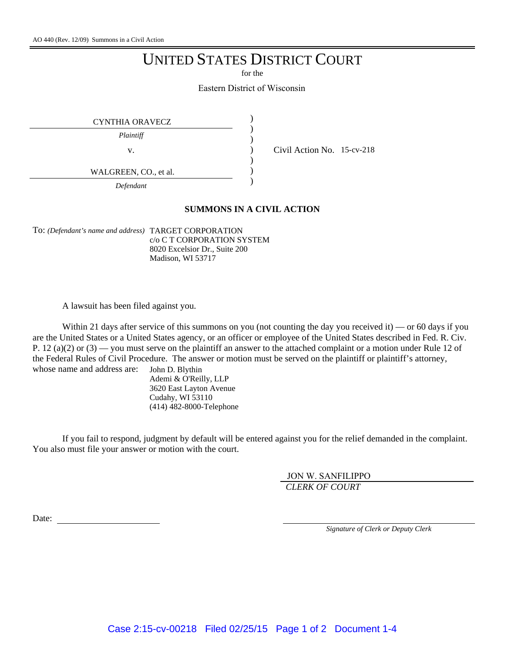# UNITED STATES DISTRICT COURT

for the

Eastern District of Wisconsin

) ) ) ) ) ) )

| CYNTHIA ORAVECZ |  |
|-----------------|--|
| Plaintiff       |  |

v. Civil Action No. 15-cv-218

WALGREEN, CO., et al.

*Defendant*

#### **SUMMONS IN A CIVIL ACTION**

To: *(Defendant's name and address)* TARGET CORPORATION c/o C T CORPORATION SYSTEM 8020 Excelsior Dr., Suite 200 Madison, WI 53717

A lawsuit has been filed against you.

Within 21 days after service of this summons on you (not counting the day you received it) — or 60 days if you are the United States or a United States agency, or an officer or employee of the United States described in Fed. R. Civ. P. 12 (a)(2) or (3) — you must serve on the plaintiff an answer to the attached complaint or a motion under Rule 12 of the Federal Rules of Civil Procedure. The answer or motion must be served on the plaintiff or plaintiff's attorney, whose name and address are:

John D. Blythin Ademi & O'Reilly, LLP 3620 East Layton Avenue Cudahy, WI 53110 (414) 482-8000-Telephone

If you fail to respond, judgment by default will be entered against you for the relief demanded in the complaint. You also must file your answer or motion with the court.

> *CLERK OF COURT* JON W. SANFILIPPO

Date:

*Signature of Clerk or Deputy Clerk*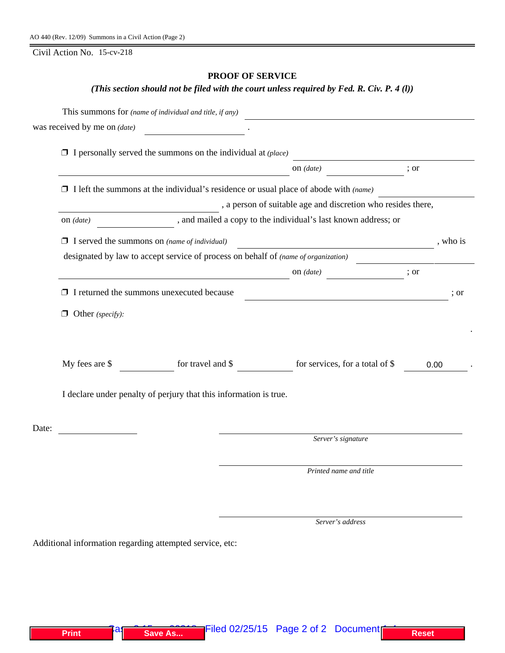Civil Action No. 15-cv-218

#### **PROOF OF SERVICE**

# *(This section should not be filed with the court unless required by Fed. R. Civ. P. 4 (l))*

|       | This summons for (name of individual and title, if any)                                     |                    |  |                                                       |      |          |  |
|-------|---------------------------------------------------------------------------------------------|--------------------|--|-------------------------------------------------------|------|----------|--|
|       | was received by me on (date)                                                                |                    |  |                                                       |      |          |  |
|       | $\Box$ I personally served the summons on the individual at (place)                         |                    |  |                                                       |      |          |  |
|       |                                                                                             |                    |  | on $(date)$                                           | ; or |          |  |
|       | $\Box$ I left the summons at the individual's residence or usual place of abode with (name) |                    |  |                                                       |      |          |  |
|       | , a person of suitable age and discretion who resides there,                                |                    |  |                                                       |      |          |  |
|       | , and mailed a copy to the individual's last known address; or<br>$on$ (date)               |                    |  |                                                       |      |          |  |
|       | $\Box$ I served the summons on (name of individual)                                         |                    |  |                                                       |      | , who is |  |
|       | designated by law to accept service of process on behalf of (name of organization)          |                    |  |                                                       |      |          |  |
|       |                                                                                             |                    |  | on $(data)$<br>$\frac{1}{2}$ or                       |      |          |  |
|       | $\Box$ I returned the summons unexecuted because                                            |                    |  | <u> 1989 - Johann Stein, fransk politik (d. 1989)</u> |      | ; or     |  |
|       | $\Box$ Other (specify):                                                                     |                    |  |                                                       |      |          |  |
|       |                                                                                             |                    |  |                                                       |      |          |  |
|       | My fees are \$                                                                              |                    |  | for travel and $\$ for services, for a total of $\$   |      | 0.00     |  |
|       | I declare under penalty of perjury that this information is true.                           |                    |  |                                                       |      |          |  |
| Date: |                                                                                             |                    |  |                                                       |      |          |  |
|       |                                                                                             | Server's signature |  |                                                       |      |          |  |
|       |                                                                                             |                    |  | Printed name and title                                |      |          |  |
|       |                                                                                             |                    |  | Server's address                                      |      |          |  |
|       |                                                                                             |                    |  |                                                       |      |          |  |

Additional information regarding attempted service, etc: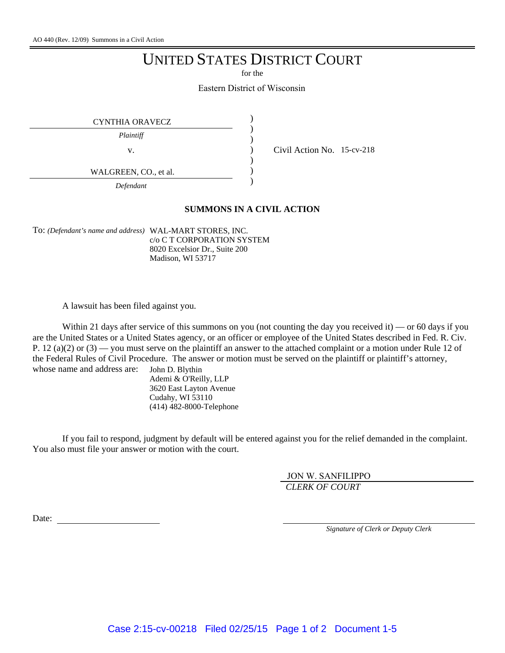# UNITED STATES DISTRICT COURT

for the

Eastern District of Wisconsin

| CYNTHIA ORAVECZ       |                            |  |
|-----------------------|----------------------------|--|
| Plaintiff             |                            |  |
|                       | Civil Action No. 15-cv-218 |  |
|                       |                            |  |
| WALGREEN, CO., et al. |                            |  |

*Defendant*

#### **SUMMONS IN A CIVIL ACTION**

)

To: *(Defendant's name and address)* WAL-MART STORES, INC. c/o C T CORPORATION SYSTEM 8020 Excelsior Dr., Suite 200 Madison, WI 53717

A lawsuit has been filed against you.

Within 21 days after service of this summons on you (not counting the day you received it) — or 60 days if you are the United States or a United States agency, or an officer or employee of the United States described in Fed. R. Civ. P. 12 (a)(2) or  $(3)$  — you must serve on the plaintiff an answer to the attached complaint or a motion under Rule 12 of the Federal Rules of Civil Procedure. The answer or motion must be served on the plaintiff or plaintiff's attorney, whose name and address are:

John D. Blythin Ademi & O'Reilly, LLP 3620 East Layton Avenue Cudahy, WI 53110 (414) 482-8000-Telephone

If you fail to respond, judgment by default will be entered against you for the relief demanded in the complaint. You also must file your answer or motion with the court.

> *CLERK OF COURT* JON W. SANFILIPPO

Date:

*Signature of Clerk or Deputy Clerk*